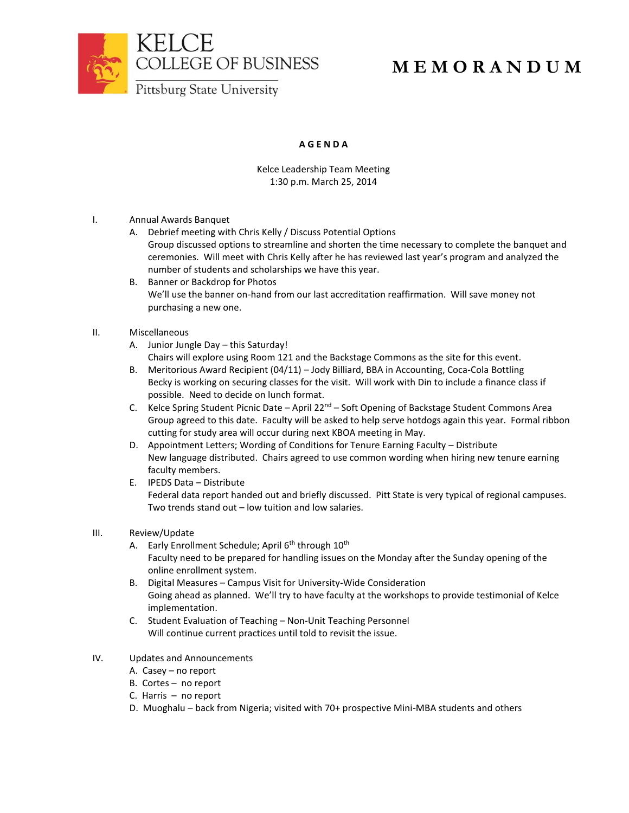



## **M E M O R A N D U M**

Pittsburg State University

## **A G E N D A**

Kelce Leadership Team Meeting 1:30 p.m. March 25, 2014

- I. Annual Awards Banquet
	- A. Debrief meeting with Chris Kelly / Discuss Potential Options Group discussed options to streamline and shorten the time necessary to complete the banquet and ceremonies. Will meet with Chris Kelly after he has reviewed last year's program and analyzed the number of students and scholarships we have this year.
	- B. Banner or Backdrop for Photos We'll use the banner on-hand from our last accreditation reaffirmation. Will save money not purchasing a new one.
- II. Miscellaneous
	- A. Junior Jungle Day this Saturday!
		- Chairs will explore using Room 121 and the Backstage Commons as the site for this event.
	- B. Meritorious Award Recipient (04/11) Jody Billiard, BBA in Accounting, Coca-Cola Bottling Becky is working on securing classes for the visit. Will work with Din to include a finance class if possible. Need to decide on lunch format.
	- C. Kelce Spring Student Picnic Date April 22<sup>nd</sup> Soft Opening of Backstage Student Commons Area Group agreed to this date. Faculty will be asked to help serve hotdogs again this year. Formal ribbon cutting for study area will occur during next KBOA meeting in May.
	- D. Appointment Letters; Wording of Conditions for Tenure Earning Faculty Distribute New language distributed. Chairs agreed to use common wording when hiring new tenure earning faculty members.
	- E. IPEDS Data Distribute Federal data report handed out and briefly discussed. Pitt State is very typical of regional campuses. Two trends stand out – low tuition and low salaries.
- III. Review/Update
	- A. Early Enrollment Schedule; April 6<sup>th</sup> through 10<sup>th</sup> Faculty need to be prepared for handling issues on the Monday after the Sunday opening of the online enrollment system.
	- B. Digital Measures Campus Visit for University-Wide Consideration Going ahead as planned. We'll try to have faculty at the workshops to provide testimonial of Kelce implementation.
	- C. Student Evaluation of Teaching Non-Unit Teaching Personnel Will continue current practices until told to revisit the issue.
- IV. Updates and Announcements
	- A. Casey no report
	- B. Cortes no report
	- C. Harris no report
	- D. Muoghalu back from Nigeria; visited with 70+ prospective Mini-MBA students and others